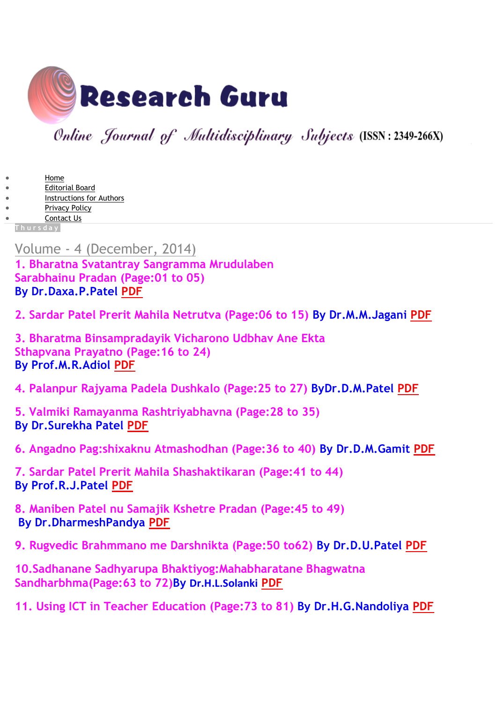

Online Journal of Multidisciplinary Subjects (ISSN: 2349-266X)

- [Home](http://www.researchguru.net/)
- [Editorial Board](http://www.researchguru.net/p/editorial-board.html)
- [Instructions](http://www.researchguru.net/p/instructions-for-authors.html) for Authors [Privacy Policy](http://www.researchguru.net/p/privacy-policy.html)
- [Contact Us](http://www.researchguru.net/p/contact-us.html)

**T h u r s d a y**

## Volume - [4 \(December,](http://www.researchguru.net/2014/12/1.html) 2014)

**1. Bharatna Svatantray Sangramma Mrudulaben Sarabhainu Pradan (Page:01 to 05) By Dr.Daxa.P.Patel [PDF](https://www.dropbox.com/s/q2a0zeelm6xf99t/RG4DP1.pdf?dl=1)**

**2. Sardar Patel Prerit Mahila Netrutva (Page:06 to 15) By Dr.M.M.Jagani [PDF](https://www.dropbox.com/s/iy0b4njcgcsn613/RG4MM2.pdf?dl=1)**

**3. Bharatma Binsampradayik Vicharono Udbhav Ane Ekta Sthapvana Prayatno (Page:16 to 24) By Prof.M.R.Adiol [PDF](https://www.dropbox.com/s/6e3epc7fftb82by/RG4MR3.pdf?dl=1)**

**4. Palanpur Rajyama Padela Dushkalo (Page:25 to 27) ByDr.D.M.Patel [PDF](https://www.dropbox.com/s/wiajax15c03tv3u/RG4DM4.pdf?dl=1)**

**5. Valmiki Ramayanma Rashtriyabhavna (Page:28 to 35) By Dr.Surekha Patel [PDF](https://www.dropbox.com/s/4i47fl5l36lzvrm/RG4SP5.pdf?dl=1)**

**6. Angadno Pag:shixaknu Atmashodhan (Page:36 to 40) By Dr.D.M.Gamit [PDF](https://www.dropbox.com/s/vtlbgadmoplzj8y/RG4DM6.pdf?dl=1)**

**7. Sardar Patel Prerit Mahila Shashaktikaran (Page:41 to 44) By Prof.R.J.Patel [PDF](https://www.dropbox.com/s/chs9ybmqfdhw9uw/RG4RJ7.pdf?dl=1)**

**8. Maniben Patel nu Samajik Kshetre Pradan (Page:45 to 49) By Dr.DharmeshPandya [PDF](https://www.dropbox.com/s/hrf0kvwbrlaqnpq/RG4DC8.pdf?dl=1)**

**9. Rugvedic Brahmmano me Darshnikta (Page:50 to62) By Dr.D.U.Patel [PDF](https://www.dropbox.com/s/undea2ppjky4l6w/RG4DU9.pdf?dl=1)**

**10.Sadhanane Sadhyarupa Bhaktiyog:Mahabharatane Bhagwatna Sandharbhma(Page:63 to 72)By Dr.H.L.Solanki [PDF](https://www.dropbox.com/s/00ohtyw2ldvy8le/RG4HL10.pdf?dl=1)**

**11. Using ICT in Teacher Education (Page:73 to 81) By Dr.H.G.Nandoliya [PDF](https://www.dropbox.com/s/fp5kojzblm83ie8/RG4HG11.pdf?dl=1)**